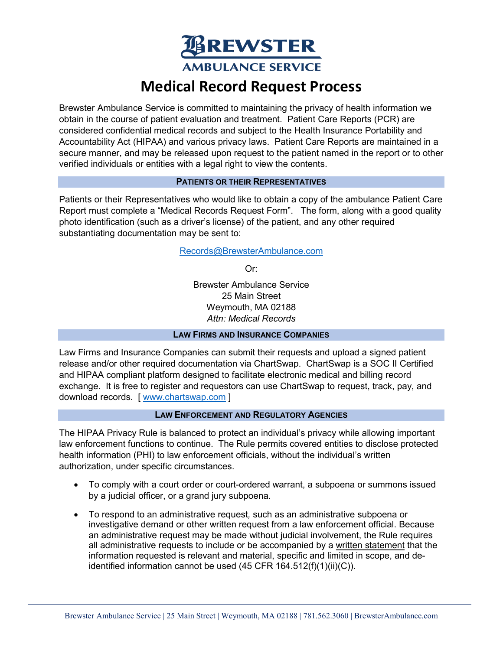**BREWSTER AMBULANCE SERVICE** 

# **Medical Record Request Process**

Brewster Ambulance Service is committed to maintaining the privacy of health information we obtain in the course of patient evaluation and treatment. Patient Care Reports (PCR) are considered confidential medical records and subject to the Health Insurance Portability and Accountability Act (HIPAA) and various privacy laws. Patient Care Reports are maintained in a secure manner, and may be released upon request to the patient named in the report or to other verified individuals or entities with a legal right to view the contents.

### **PATIENTS OR THEIR REPRESENTATIVES**

Patients or their Representatives who would like to obtain a copy of the ambulance Patient Care Report must complete a "Medical Records Request Form". The form, along with a good quality photo identification (such as a driver's license) of the patient, and any other required substantiating documentation may be sent to:

## [Records@BrewsterAmbulance.com](mailto:Records@BrewsterAmbulance.com)

Or:

Brewster Ambulance Service 25 Main Street Weymouth, MA 02188 *Attn: Medical Records*

### **LAW FIRMS AND INSURANCE COMPANIES**

Law Firms and Insurance Companies can submit their requests and upload a signed patient release and/or other required documentation via ChartSwap. ChartSwap is a SOC II Certified and HIPAA compliant platform designed to facilitate electronic medical and billing record exchange. It is free to register and requestors can use ChartSwap to request, track, pay, and download records. [ [www.chartswap.com](http://www.chartswap.com/) ]

## **LAW ENFORCEMENT AND REGULATORY AGENCIES**

The HIPAA Privacy Rule is balanced to protect an individual's privacy while allowing important law enforcement functions to continue. The Rule permits covered entities to disclose protected health information (PHI) to law enforcement officials, without the individual's written authorization, under specific circumstances.

- To comply with a court order or court-ordered warrant, a subpoena or summons issued by a judicial officer, or a grand jury subpoena.
- To respond to an administrative request*,* such as an administrative subpoena or investigative demand or other written request from a law enforcement official. Because an administrative request may be made without judicial involvement, the Rule requires all administrative requests to include or be accompanied by a written statement that the information requested is relevant and material, specific and limited in scope, and deidentified information cannot be used (45 CFR 164.512(f)(1)(ii)(C)).